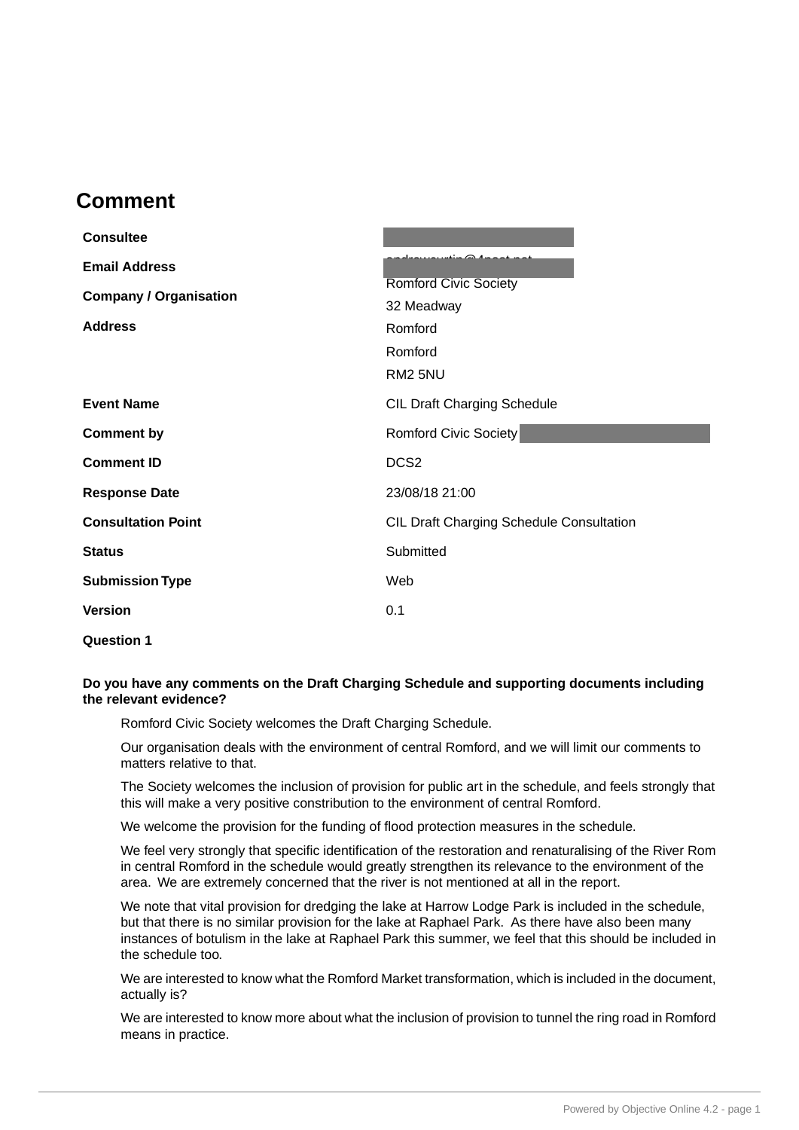## **Comment .**

| <b>Consultee</b>              |                                                 |
|-------------------------------|-------------------------------------------------|
| <b>Email Address</b>          | $\mathbf{r}$ $\infty$ $\mathbf{r}$              |
| <b>Company / Organisation</b> | <b>Romford Civic Society</b>                    |
|                               | 32 Meadway                                      |
| <b>Address</b>                | Romford                                         |
|                               | Romford                                         |
|                               | RM2 5NU                                         |
| <b>Event Name</b>             | <b>CIL Draft Charging Schedule</b>              |
| <b>Comment by</b>             | Romford Civic Society                           |
| <b>Comment ID</b>             | DCS <sub>2</sub>                                |
| <b>Response Date</b>          | 23/08/18 21:00                                  |
| <b>Consultation Point</b>     | <b>CIL Draft Charging Schedule Consultation</b> |
| <b>Status</b>                 | Submitted                                       |
| <b>Submission Type</b>        | Web                                             |
| <b>Version</b>                | 0.1                                             |
| <b>Question 1</b>             |                                                 |

## **Do you have any comments on the Draft Charging Schedule and supporting documents including the relevant evidence?**

Romford Civic Society welcomes the Draft Charging Schedule.

Our organisation deals with the environment of central Romford, and we will limit our comments to matters relative to that.

The Society welcomes the inclusion of provision for public art in the schedule, and feels strongly that this will make a very positive constribution to the environment of central Romford.

We welcome the provision for the funding of flood protection measures in the schedule.

We feel very strongly that specific identification of the restoration and renaturalising of the River Rom in central Romford in the schedule would greatly strengthen its relevance to the environment of the area. We are extremely concerned that the river is not mentioned at all in the report.

We note that vital provision for dredging the lake at Harrow Lodge Park is included in the schedule, but that there is no similar provision for the lake at Raphael Park. As there have also been many instances of botulism in the lake at Raphael Park this summer, we feel that this should be included in the schedule too.

We are interested to know what the Romford Market transformation, which is included in the document, actually is?

We are interested to know more about what the inclusion of provision to tunnel the ring road in Romford means in practice.